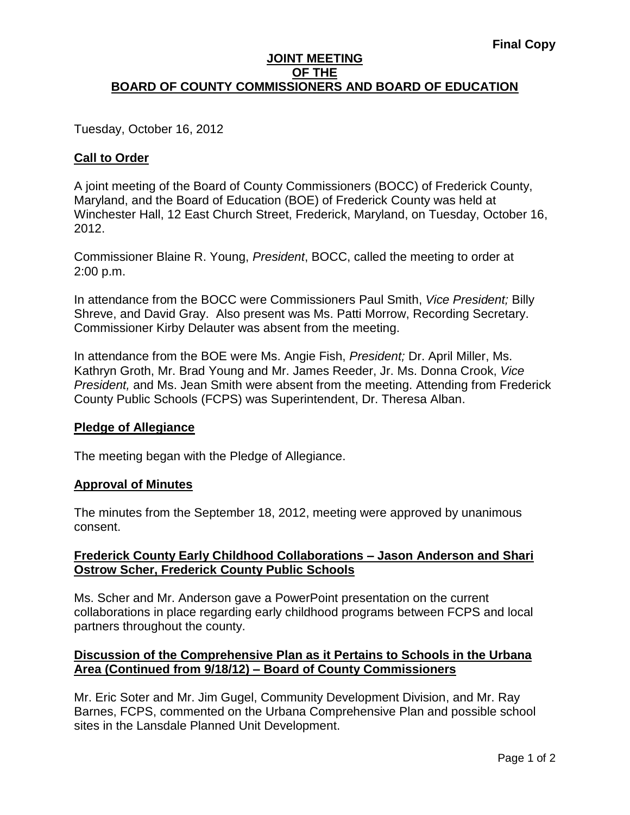### **JOINT MEETING OF THE BOARD OF COUNTY COMMISSIONERS AND BOARD OF EDUCATION**

Tuesday, October 16, 2012

# **Call to Order**

A joint meeting of the Board of County Commissioners (BOCC) of Frederick County, Maryland, and the Board of Education (BOE) of Frederick County was held at Winchester Hall, 12 East Church Street, Frederick, Maryland, on Tuesday, October 16, 2012.

Commissioner Blaine R. Young, *President*, BOCC, called the meeting to order at 2:00 p.m.

In attendance from the BOCC were Commissioners Paul Smith, *Vice President;* Billy Shreve, and David Gray. Also present was Ms. Patti Morrow, Recording Secretary. Commissioner Kirby Delauter was absent from the meeting.

In attendance from the BOE were Ms. Angie Fish, *President;* Dr. April Miller, Ms. Kathryn Groth, Mr. Brad Young and Mr. James Reeder, Jr. Ms. Donna Crook, *Vice President,* and Ms. Jean Smith were absent from the meeting. Attending from Frederick County Public Schools (FCPS) was Superintendent, Dr. Theresa Alban.

### **Pledge of Allegiance**

The meeting began with the Pledge of Allegiance.

### **Approval of Minutes**

The minutes from the September 18, 2012, meeting were approved by unanimous consent.

# **Frederick County Early Childhood Collaborations – Jason Anderson and Shari Ostrow Scher, Frederick County Public Schools**

Ms. Scher and Mr. Anderson gave a PowerPoint presentation on the current collaborations in place regarding early childhood programs between FCPS and local partners throughout the county.

# **Discussion of the Comprehensive Plan as it Pertains to Schools in the Urbana Area (Continued from 9/18/12) – Board of County Commissioners**

Mr. Eric Soter and Mr. Jim Gugel, Community Development Division, and Mr. Ray Barnes, FCPS, commented on the Urbana Comprehensive Plan and possible school sites in the Lansdale Planned Unit Development.